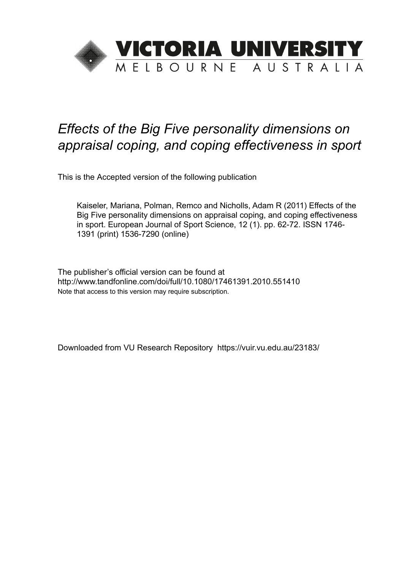

# *Effects of the Big Five personality dimensions on appraisal coping, and coping effectiveness in sport*

This is the Accepted version of the following publication

Kaiseler, Mariana, Polman, Remco and Nicholls, Adam R (2011) Effects of the Big Five personality dimensions on appraisal coping, and coping effectiveness in sport. European Journal of Sport Science, 12 (1). pp. 62-72. ISSN 1746- 1391 (print) 1536-7290 (online)

The publisher's official version can be found at http://www.tandfonline.com/doi/full/10.1080/17461391.2010.551410 Note that access to this version may require subscription.

Downloaded from VU Research Repository https://vuir.vu.edu.au/23183/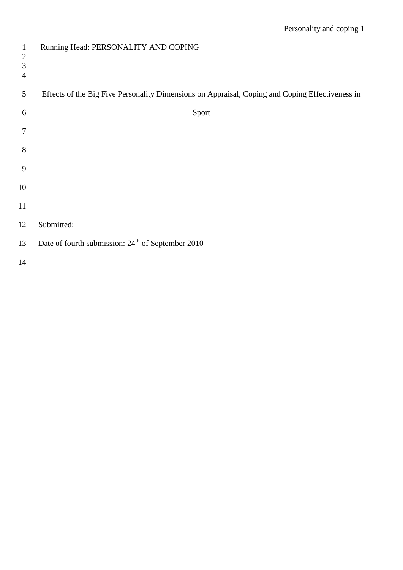| $\mathbf{1}$<br>$\mathfrak{2}$<br>3<br>$\overline{4}$ | Running Head: PERSONALITY AND COPING                                                            |
|-------------------------------------------------------|-------------------------------------------------------------------------------------------------|
| 5                                                     | Effects of the Big Five Personality Dimensions on Appraisal, Coping and Coping Effectiveness in |
| 6                                                     | Sport                                                                                           |
| 7                                                     |                                                                                                 |
| 8                                                     |                                                                                                 |
| 9                                                     |                                                                                                 |
| 10                                                    |                                                                                                 |
| 11                                                    |                                                                                                 |
| 12                                                    | Submitted:                                                                                      |
| 13                                                    | Date of fourth submission: 24 <sup>th</sup> of September 2010                                   |
| 14                                                    |                                                                                                 |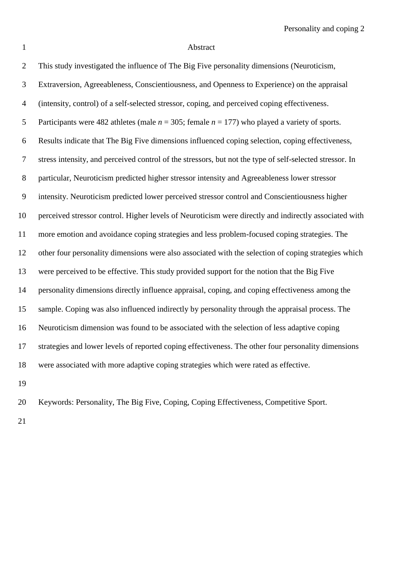# Abstract

| I |  |
|---|--|
|   |  |
|   |  |
|   |  |
|   |  |
|   |  |

| $\overline{2}$ | This study investigated the influence of The Big Five personality dimensions (Neuroticism,               |
|----------------|----------------------------------------------------------------------------------------------------------|
| $\mathfrak{Z}$ | Extraversion, Agreeableness, Conscientiousness, and Openness to Experience) on the appraisal             |
| $\overline{4}$ | (intensity, control) of a self-selected stressor, coping, and perceived coping effectiveness.            |
| $\sqrt{5}$     | Participants were 482 athletes (male $n = 305$ ; female $n = 177$ ) who played a variety of sports.      |
| 6              | Results indicate that The Big Five dimensions influenced coping selection, coping effectiveness,         |
| $\tau$         | stress intensity, and perceived control of the stressors, but not the type of self-selected stressor. In |
| 8              | particular, Neuroticism predicted higher stressor intensity and Agreeableness lower stressor             |
| 9              | intensity. Neuroticism predicted lower perceived stressor control and Conscientiousness higher           |
| 10             | perceived stressor control. Higher levels of Neuroticism were directly and indirectly associated with    |
| 11             | more emotion and avoidance coping strategies and less problem-focused coping strategies. The             |
| 12             | other four personality dimensions were also associated with the selection of coping strategies which     |
| 13             | were perceived to be effective. This study provided support for the notion that the Big Five             |
| 14             | personality dimensions directly influence appraisal, coping, and coping effectiveness among the          |
| 15             | sample. Coping was also influenced indirectly by personality through the appraisal process. The          |
| 16             | Neuroticism dimension was found to be associated with the selection of less adaptive coping              |
| 17             | strategies and lower levels of reported coping effectiveness. The other four personality dimensions      |
| 18             | were associated with more adaptive coping strategies which were rated as effective.                      |
| 1 Q            |                                                                                                          |

Keywords: Personality, The Big Five, Coping, Coping Effectiveness, Competitive Sport.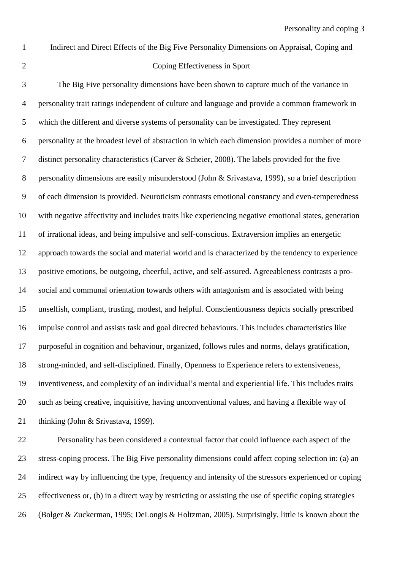#### Coping Effectiveness in Sport

Indirect and Direct Effects of the Big Five Personality Dimensions on Appraisal, Coping and

 The Big Five personality dimensions have been shown to capture much of the variance in personality trait ratings independent of culture and language and provide a common framework in which the different and diverse systems of personality can be investigated. They represent personality at the broadest level of abstraction in which each dimension provides a number of more distinct personality characteristics (Carver & Scheier, 2008). The labels provided for the five personality dimensions are easily misunderstood (John & Srivastava, 1999), so a brief description of each dimension is provided. Neuroticism contrasts emotional constancy and even-temperedness with negative affectivity and includes traits like experiencing negative emotional states, generation of irrational ideas, and being impulsive and self-conscious. Extraversion implies an energetic approach towards the social and material world and is characterized by the tendency to experience positive emotions, be outgoing, cheerful, active, and self-assured. Agreeableness contrasts a pro- social and communal orientation towards others with antagonism and is associated with being unselfish, compliant, trusting, modest, and helpful. Conscientiousness depicts socially prescribed impulse control and assists task and goal directed behaviours. This includes characteristics like purposeful in cognition and behaviour, organized, follows rules and norms, delays gratification, strong-minded, and self-disciplined. Finally, Openness to Experience refers to extensiveness, inventiveness, and complexity of an individual's mental and experiential life. This includes traits such as being creative, inquisitive, having unconventional values, and having a flexible way of thinking (John & Srivastava, 1999).

 Personality has been considered a contextual factor that could influence each aspect of the stress-coping process. The Big Five personality dimensions could affect coping selection in: (a) an indirect way by influencing the type, frequency and intensity of the stressors experienced or coping effectiveness or, (b) in a direct way by restricting or assisting the use of specific coping strategies (Bolger & Zuckerman, 1995; DeLongis & Holtzman, 2005). Surprisingly, little is known about the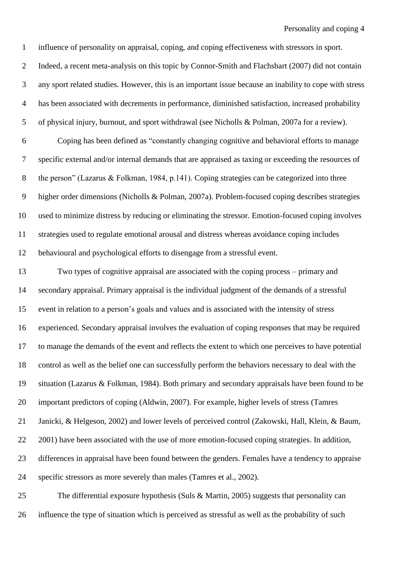Indeed, a recent meta-analysis on this topic by Connor-Smith and Flachsbart (2007) did not contain any sport related studies. However, this is an important issue because an inability to cope with stress has been associated with decrements in performance, diminished satisfaction, increased probability of physical injury, burnout, and sport withdrawal (see Nicholls & Polman, 2007a for a review).

influence of personality on appraisal, coping, and coping effectiveness with stressors in sport.

 Coping has been defined as "constantly changing cognitive and behavioral efforts to manage specific external and/or internal demands that are appraised as taxing or exceeding the resources of the person" (Lazarus & Folkman, 1984, p.141). Coping strategies can be categorized into three higher order dimensions (Nicholls & Polman, 2007a). Problem-focused coping describes strategies used to minimize distress by reducing or eliminating the stressor. Emotion-focused coping involves strategies used to regulate emotional arousal and distress whereas avoidance coping includes behavioural and psychological efforts to disengage from a stressful event.

 Two types of cognitive appraisal are associated with the coping process – primary and secondary appraisal. Primary appraisal is the individual judgment of the demands of a stressful event in relation to a person's goals and values and is associated with the intensity of stress experienced. Secondary appraisal involves the evaluation of coping responses that may be required to manage the demands of the event and reflects the extent to which one perceives to have potential control as well as the belief one can successfully perform the behaviors necessary to deal with the situation (Lazarus & Folkman, 1984). Both primary and secondary appraisals have been found to be important predictors of coping (Aldwin, 2007). For example, higher levels of stress (Tamres Janicki, & Helgeson, 2002) and lower levels of perceived control (Zakowski, Hall, Klein, & Baum, 22 2001) have been associated with the use of more emotion-focused coping strategies. In addition, differences in appraisal have been found between the genders. Females have a tendency to appraise specific stressors as more severely than males (Tamres et al., 2002).

 The differential exposure hypothesis (Suls & Martin, 2005) suggests that personality can influence the type of situation which is perceived as stressful as well as the probability of such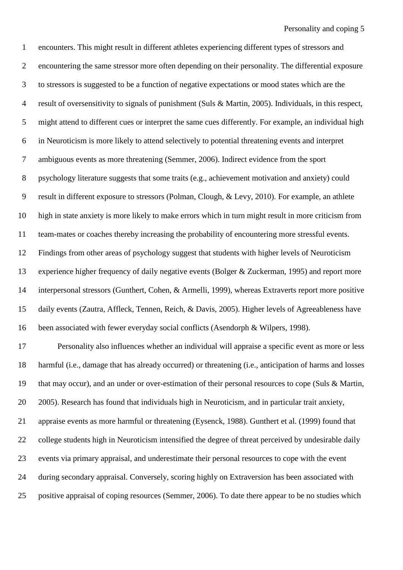encounters. This might result in different athletes experiencing different types of stressors and encountering the same stressor more often depending on their personality. The differential exposure to stressors is suggested to be a function of negative expectations or mood states which are the result of oversensitivity to signals of punishment (Suls & Martin, 2005). Individuals, in this respect, might attend to different cues or interpret the same cues differently. For example, an individual high in Neuroticism is more likely to attend selectively to potential threatening events and interpret ambiguous events as more threatening (Semmer, 2006). Indirect evidence from the sport psychology literature suggests that some traits (e.g., achievement motivation and anxiety) could result in different exposure to stressors (Polman, Clough, & Levy, 2010). For example, an athlete high in state anxiety is more likely to make errors which in turn might result in more criticism from team-mates or coaches thereby increasing the probability of encountering more stressful events. Findings from other areas of psychology suggest that students with higher levels of Neuroticism experience higher frequency of daily negative events (Bolger & Zuckerman, 1995) and report more interpersonal stressors (Gunthert, Cohen, & Armelli, 1999), whereas Extraverts report more positive daily events (Zautra, Affleck, Tennen, Reich, & Davis, 2005). Higher levels of Agreeableness have been associated with fewer everyday social conflicts (Asendorph & Wilpers, 1998).

 Personality also influences whether an individual will appraise a specific event as more or less harmful (i.e., damage that has already occurred) or threatening (i.e., anticipation of harms and losses that may occur), and an under or over-estimation of their personal resources to cope (Suls & Martin, 2005). Research has found that individuals high in Neuroticism, and in particular trait anxiety, appraise events as more harmful or threatening (Eysenck, 1988). Gunthert et al. (1999) found that college students high in Neuroticism intensified the degree of threat perceived by undesirable daily events via primary appraisal, and underestimate their personal resources to cope with the event during secondary appraisal. Conversely, scoring highly on Extraversion has been associated with positive appraisal of coping resources (Semmer, 2006). To date there appear to be no studies which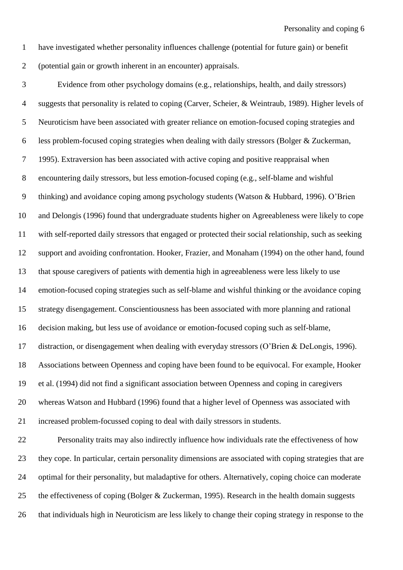have investigated whether personality influences challenge (potential for future gain) or benefit (potential gain or growth inherent in an encounter) appraisals.

 Evidence from other psychology domains (e.g., relationships, health, and daily stressors) suggests that personality is related to coping (Carver, Scheier, & Weintraub, 1989). Higher levels of Neuroticism have been associated with greater reliance on emotion-focused coping strategies and less problem-focused coping strategies when dealing with daily stressors (Bolger & Zuckerman, 1995). Extraversion has been associated with active coping and positive reappraisal when encountering daily stressors, but less emotion-focused coping (e.g., self-blame and wishful thinking) and avoidance coping among psychology students (Watson & Hubbard, 1996). O'Brien and Delongis (1996) found that undergraduate students higher on Agreeableness were likely to cope with self-reported daily stressors that engaged or protected their social relationship, such as seeking support and avoiding confrontation. Hooker, Frazier, and Monaham (1994) on the other hand, found that spouse caregivers of patients with dementia high in agreeableness were less likely to use emotion-focused coping strategies such as self-blame and wishful thinking or the avoidance coping strategy disengagement. Conscientiousness has been associated with more planning and rational decision making, but less use of avoidance or emotion-focused coping such as self-blame, distraction, or disengagement when dealing with everyday stressors (O'Brien & DeLongis, 1996). Associations between Openness and coping have been found to be equivocal. For example, Hooker et al. (1994) did not find a significant association between Openness and coping in caregivers whereas Watson and Hubbard (1996) found that a higher level of Openness was associated with increased problem-focussed coping to deal with daily stressors in students. Personality traits may also indirectly influence how individuals rate the effectiveness of how they cope. In particular, certain personality dimensions are associated with coping strategies that are optimal for their personality, but maladaptive for others. Alternatively, coping choice can moderate

the effectiveness of coping (Bolger & Zuckerman, 1995). Research in the health domain suggests

that individuals high in Neuroticism are less likely to change their coping strategy in response to the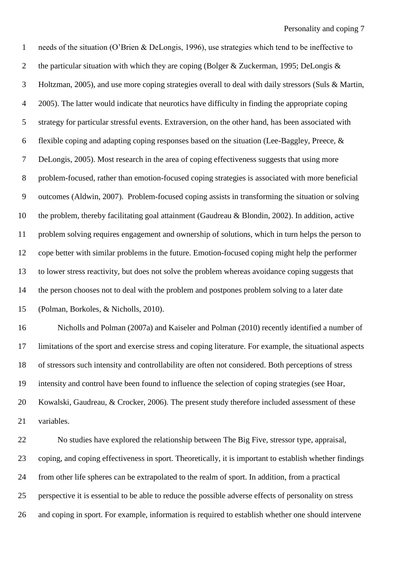needs of the situation (O'Brien & DeLongis, 1996), use strategies which tend to be ineffective to 2 the particular situation with which they are coping (Bolger & Zuckerman, 1995; DeLongis & Holtzman, 2005), and use more coping strategies overall to deal with daily stressors (Suls & Martin, 2005). The latter would indicate that neurotics have difficulty in finding the appropriate coping strategy for particular stressful events. Extraversion, on the other hand, has been associated with flexible coping and adapting coping responses based on the situation (Lee-Baggley, Preece, & DeLongis, 2005). Most research in the area of coping effectiveness suggests that using more problem-focused, rather than emotion-focused coping strategies is associated with more beneficial outcomes (Aldwin, 2007). Problem-focused coping assists in transforming the situation or solving the problem, thereby facilitating goal attainment (Gaudreau & Blondin, 2002). In addition, active problem solving requires engagement and ownership of solutions, which in turn helps the person to cope better with similar problems in the future. Emotion-focused coping might help the performer to lower stress reactivity, but does not solve the problem whereas avoidance coping suggests that the person chooses not to deal with the problem and postpones problem solving to a later date (Polman, Borkoles, & Nicholls, 2010).

 Nicholls and Polman (2007a) and Kaiseler and Polman (2010) recently identified a number of limitations of the sport and exercise stress and coping literature. For example, the situational aspects of stressors such intensity and controllability are often not considered. Both perceptions of stress intensity and control have been found to influence the selection of coping strategies (see Hoar, Kowalski, Gaudreau, & Crocker, 2006). The present study therefore included assessment of these variables.

 No studies have explored the relationship between The Big Five, stressor type, appraisal, coping, and coping effectiveness in sport. Theoretically, it is important to establish whether findings from other life spheres can be extrapolated to the realm of sport. In addition, from a practical perspective it is essential to be able to reduce the possible adverse effects of personality on stress and coping in sport. For example, information is required to establish whether one should intervene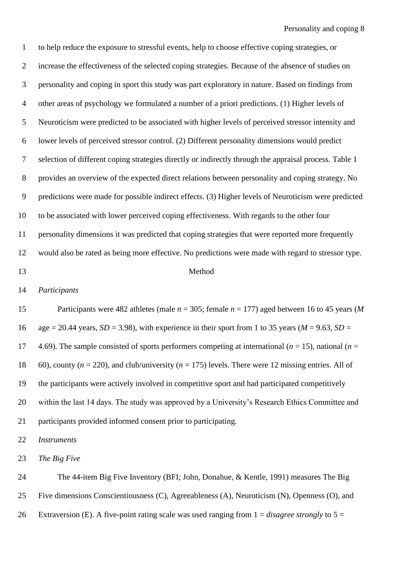to help reduce the exposure to stressful events, help to choose effective coping strategies, or increase the effectiveness of the selected coping strategies. Because of the absence of studies on personality and coping in sport this study was part exploratory in nature. Based on findings from other areas of psychology we formulated a number of a priori predictions. (1) Higher levels of Neuroticism were predicted to be associated with higher levels of perceived stressor intensity and lower levels of perceived stressor control. (2) Different personality dimensions would predict selection of different coping strategies directly or indirectly through the appraisal process. Table 1 provides an overview of the expected direct relations between personality and coping strategy. No predictions were made for possible indirect effects. (3) Higher levels of Neuroticism were predicted to be associated with lower perceived coping effectiveness. With regards to the other four personality dimensions it was predicted that coping strategies that were reported more frequently would also be rated as being more effective. No predictions were made with regard to stressor type. Method

### *Participants*

 Participants were 482 athletes (male *n* = 305; female *n* = 177) aged between 16 to 45 years (*M* 16 age  $= 20.44$  years, *SD*  $= 3.98$ ), with experience in their sport from 1 to 35 years (*M*  $= 9.63$ , *SD*  $=$ 17 4.69). The sample consisted of sports performers competing at international ( $n = 15$ ), national ( $n = 15$ ) 60), county (*n* = 220), and club/university (*n* = 175) levels. There were 12 missing entries. All of the participants were actively involved in competitive sport and had participated competitively within the last 14 days. The study was approved by a University's Research Ethics Committee and participants provided informed consent prior to participating.

*Instruments*

*The Big Five*

 The 44-item Big Five Inventory (BFI; John, Donahue, & Kentle, 1991) measures The Big Five dimensions Conscientiousness (C), Agreeableness (A), Neuroticism (N), Openness (O), and Extraversion (E). A five-point rating scale was used ranging from 1 = *disagree strongly* to 5 =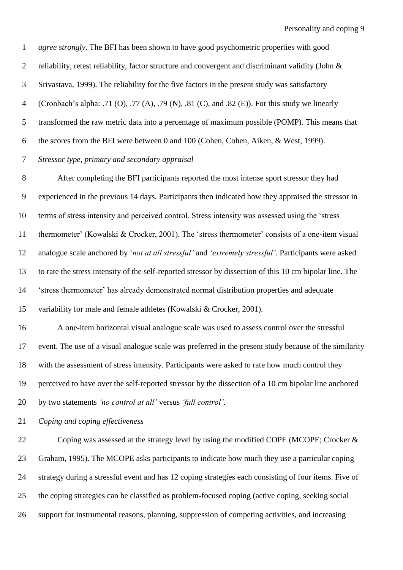*agree strongly*. The BFI has been shown to have good psychometric properties with good 2 reliability, retest reliability, factor structure and convergent and discriminant validity (John & Srivastava, 1999). The reliability for the five factors in the present study was satisfactory (Cronbach's alpha: .71 (O), .77 (A), .79 (N), .81 (C), and .82 (E)). For this study we linearly transformed the raw metric data into a percentage of maximum possible (POMP). This means that the scores from the BFI were between 0 and 100 (Cohen, Cohen, Aiken, & West, 1999). *Stressor type, primary and secondary appraisal*

 After completing the BFI participants reported the most intense sport stressor they had experienced in the previous 14 days. Participants then indicated how they appraised the stressor in terms of stress intensity and perceived control. Stress intensity was assessed using the 'stress thermometer' (Kowalski & Crocker, 2001). The 'stress thermometer' consists of a one-item visual analogue scale anchored by *'not at all stressful'* and *'extremely stressful'*. Participants were asked to rate the stress intensity of the self-reported stressor by dissection of this 10 cm bipolar line. The 'stress thermometer' has already demonstrated normal distribution properties and adequate variability for male and female athletes (Kowalski & Crocker, 2001).

 A one-item horizontal visual analogue scale was used to assess control over the stressful event. The use of a visual analogue scale was preferred in the present study because of the similarity with the assessment of stress intensity. Participants were asked to rate how much control they perceived to have over the self-reported stressor by the dissection of a 10 cm bipolar line anchored by two statements *'no control at all'* versus *'full control'*.

*Coping and coping effectiveness*

22 Coping was assessed at the strategy level by using the modified COPE (MCOPE; Crocker & Graham, 1995). The MCOPE asks participants to indicate how much they use a particular coping strategy during a stressful event and has 12 coping strategies each consisting of four items. Five of the coping strategies can be classified as problem-focused coping (active coping, seeking social support for instrumental reasons, planning, suppression of competing activities, and increasing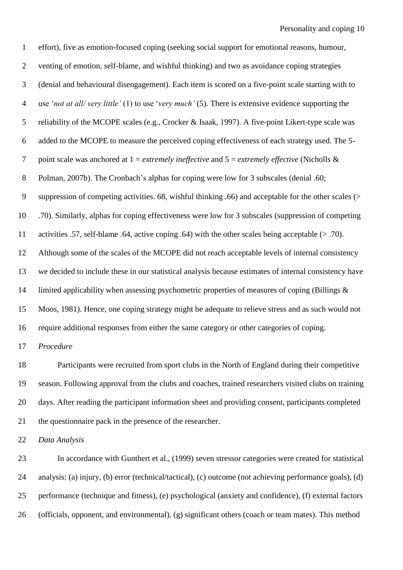| $\mathbf{1}$   | effort), five as emotion-focused coping (seeking social support for emotional reasons, humour,                  |
|----------------|-----------------------------------------------------------------------------------------------------------------|
| $\overline{2}$ | venting of emotion, self-blame, and wishful thinking) and two as avoidance coping strategies                    |
| 3              | (denial and behavioural disengagement). Each item is scored on a five-point scale starting with to              |
| $\overline{4}$ | use 'not at all/very little' (1) to use 'very much' (5). There is extensive evidence supporting the             |
| 5              | reliability of the MCOPE scales (e.g., Crocker & Isaak, 1997). A five-point Likert-type scale was               |
| 6              | added to the MCOPE to measure the perceived coping effectiveness of each strategy used. The 5-                  |
| $\tau$         | point scale was anchored at $1 =$ <i>extremely ineffective</i> and $5 =$ <i>extremely effective</i> (Nicholls & |
| $8\phantom{1}$ | Polman, 2007b). The Cronbach's alphas for coping were low for 3 subscales (denial .60;                          |
| 9              | suppression of competing activities. 68, wishful thinking .66) and acceptable for the other scales (>           |
| 10             | .70). Similarly, alphas for coping effectiveness were low for 3 subscales (suppression of competing             |
| 11             | activities .57, self-blame .64, active coping .64) with the other scales being acceptable $(> .70)$ .           |
| 12             | Although some of the scales of the MCOPE did not reach acceptable levels of internal consistency                |
| 13             | we decided to include these in our statistical analysis because estimates of internal consistency have          |
| 14             | limited applicability when assessing psychometric properties of measures of coping (Billings &                  |
| 15             | Moos, 1981). Hence, one coping strategy might be adequate to relieve stress and as such would not               |
| 16             | require additional responses from either the same category or other categories of coping.                       |
| 17             | Procedure                                                                                                       |
| 18             | Participants were recruited from sport clubs in the North of England during their competitive                   |
| 19             | season. Following approval from the clubs and coaches, trained researchers visited clubs on training            |
| 20             | days. After reading the participant information sheet and providing consent, participants completed             |
| 21             | the questionnaire pack in the presence of the researcher.                                                       |
| 22             | Data Analysis                                                                                                   |
| 23             | In accordance with Gunthert et al., (1999) seven stressor categories were created for statistical               |
|                |                                                                                                                 |

 analysis: (a) injury, (b) error (technical/tactical), (c) outcome (not achieving performance goals), (d) performance (technique and fitness), (e) psychological (anxiety and confidence), (f) external factors (officials, opponent, and environmental), (g) significant others (coach or team mates). This method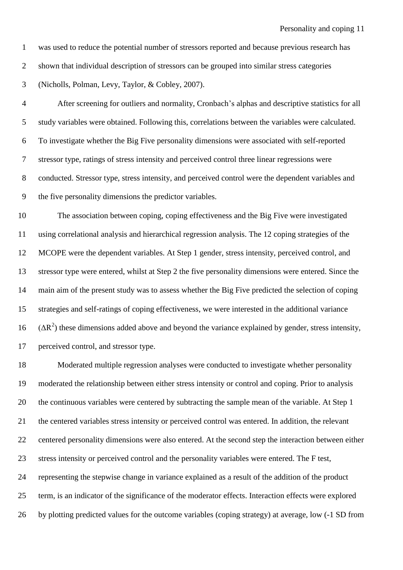was used to reduce the potential number of stressors reported and because previous research has

shown that individual description of stressors can be grouped into similar stress categories

(Nicholls, Polman, Levy, Taylor, & Cobley, 2007).

 After screening for outliers and normality, Cronbach's alphas and descriptive statistics for all study variables were obtained. Following this, correlations between the variables were calculated. To investigate whether the Big Five personality dimensions were associated with self-reported stressor type, ratings of stress intensity and perceived control three linear regressions were conducted. Stressor type, stress intensity, and perceived control were the dependent variables and the five personality dimensions the predictor variables.

 The association between coping, coping effectiveness and the Big Five were investigated using correlational analysis and hierarchical regression analysis. The 12 coping strategies of the MCOPE were the dependent variables. At Step 1 gender, stress intensity, perceived control, and stressor type were entered, whilst at Step 2 the five personality dimensions were entered. Since the main aim of the present study was to assess whether the Big Five predicted the selection of coping strategies and self-ratings of coping effectiveness, we were interested in the additional variance ( $\Delta$ R<sup>2</sup>) these dimensions added above and beyond the variance explained by gender, stress intensity, perceived control, and stressor type.

 Moderated multiple regression analyses were conducted to investigate whether personality moderated the relationship between either stress intensity or control and coping. Prior to analysis the continuous variables were centered by subtracting the sample mean of the variable. At Step 1 the centered variables stress intensity or perceived control was entered. In addition, the relevant centered personality dimensions were also entered. At the second step the interaction between either stress intensity or perceived control and the personality variables were entered. The F test, representing the stepwise change in variance explained as a result of the addition of the product term, is an indicator of the significance of the moderator effects. Interaction effects were explored by plotting predicted values for the outcome variables (coping strategy) at average, low (-1 SD from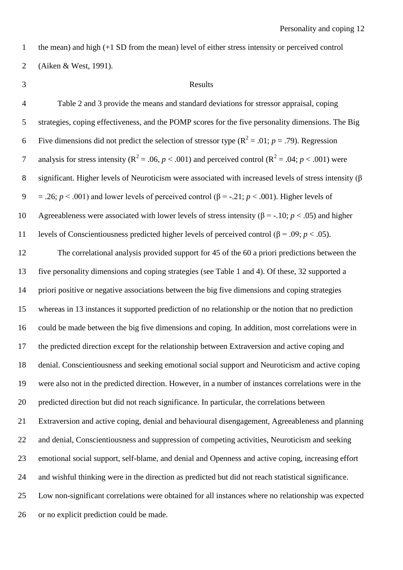the mean) and high (+1 SD from the mean) level of either stress intensity or perceived control

(Aiken & West, 1991).

#### Results

 Table 2 and 3 provide the means and standard deviations for stressor appraisal, coping strategies, coping effectiveness, and the POMP scores for the five personality dimensions. The Big 6 Five dimensions did not predict the selection of stressor type  $(R^2 = .01; p = .79)$ . Regression 7 analysis for stress intensity ( $R^2 = .06$ ,  $p < .001$ ) and perceived control ( $R^2 = .04$ ;  $p < .001$ ) were significant. Higher levels of Neuroticism were associated with increased levels of stress intensity (β 9 = .26;  $p < .001$ ) and lower levels of perceived control ( $\beta$  = -.21;  $p < .001$ ). Higher levels of Agreeableness were associated with lower levels of stress intensity (β = -.10; *p* < .05) and higher 11 levels of Conscientiousness predicted higher levels of perceived control (β = .09; *p* < .05). The correlational analysis provided support for 45 of the 60 a priori predictions between the five personality dimensions and coping strategies (see Table 1 and 4). Of these, 32 supported a priori positive or negative associations between the big five dimensions and coping strategies whereas in 13 instances it supported prediction of no relationship or the notion that no prediction could be made between the big five dimensions and coping. In addition, most correlations were in the predicted direction except for the relationship between Extraversion and active coping and denial. Conscientiousness and seeking emotional social support and Neuroticism and active coping were also not in the predicted direction. However, in a number of instances correlations were in the predicted direction but did not reach significance. In particular, the correlations between Extraversion and active coping, denial and behavioural disengagement, Agreeableness and planning and denial, Conscientiousness and suppression of competing activities, Neuroticism and seeking emotional social support, self-blame, and denial and Openness and active coping, increasing effort and wishful thinking were in the direction as predicted but did not reach statistical significance. Low non-significant correlations were obtained for all instances where no relationship was expected or no explicit prediction could be made.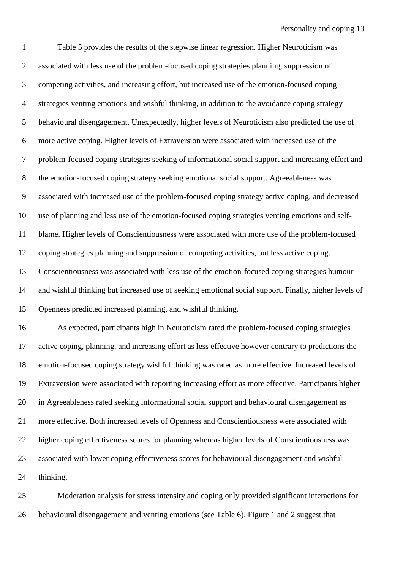Table 5 provides the results of the stepwise linear regression. Higher Neuroticism was associated with less use of the problem-focused coping strategies planning, suppression of competing activities, and increasing effort, but increased use of the emotion-focused coping strategies venting emotions and wishful thinking, in addition to the avoidance coping strategy behavioural disengagement. Unexpectedly, higher levels of Neuroticism also predicted the use of more active coping. Higher levels of Extraversion were associated with increased use of the problem-focused coping strategies seeking of informational social support and increasing effort and the emotion-focused coping strategy seeking emotional social support. Agreeableness was associated with increased use of the problem-focused coping strategy active coping, and decreased use of planning and less use of the emotion-focused coping strategies venting emotions and self- blame. Higher levels of Conscientiousness were associated with more use of the problem-focused coping strategies planning and suppression of competing activities, but less active coping. Conscientiousness was associated with less use of the emotion-focused coping strategies humour and wishful thinking but increased use of seeking emotional social support. Finally, higher levels of Openness predicted increased planning, and wishful thinking. As expected, participants high in Neuroticism rated the problem-focused coping strategies active coping, planning, and increasing effort as less effective however contrary to predictions the emotion-focused coping strategy wishful thinking was rated as more effective. Increased levels of Extraversion were associated with reporting increasing effort as more effective. Participants higher in Agreeableness rated seeking informational social support and behavioural disengagement as more effective. Both increased levels of Openness and Conscientiousness were associated with higher coping effectiveness scores for planning whereas higher levels of Conscientiousness was associated with lower coping effectiveness scores for behavioural disengagement and wishful thinking.

 Moderation analysis for stress intensity and coping only provided significant interactions for behavioural disengagement and venting emotions (see Table 6). Figure 1 and 2 suggest that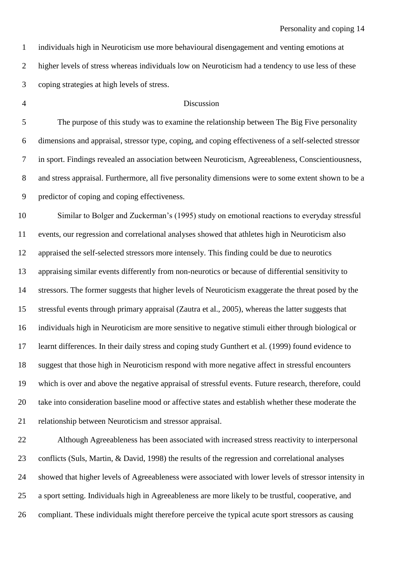individuals high in Neuroticism use more behavioural disengagement and venting emotions at higher levels of stress whereas individuals low on Neuroticism had a tendency to use less of these coping strategies at high levels of stress.

## Discussion

 The purpose of this study was to examine the relationship between The Big Five personality dimensions and appraisal, stressor type, coping, and coping effectiveness of a self-selected stressor in sport. Findings revealed an association between Neuroticism, Agreeableness, Conscientiousness, and stress appraisal. Furthermore, all five personality dimensions were to some extent shown to be a predictor of coping and coping effectiveness.

 Similar to Bolger and Zuckerman's (1995) study on emotional reactions to everyday stressful events, our regression and correlational analyses showed that athletes high in Neuroticism also appraised the self-selected stressors more intensely. This finding could be due to neurotics appraising similar events differently from non-neurotics or because of differential sensitivity to stressors. The former suggests that higher levels of Neuroticism exaggerate the threat posed by the stressful events through primary appraisal (Zautra et al., 2005), whereas the latter suggests that individuals high in Neuroticism are more sensitive to negative stimuli either through biological or learnt differences. In their daily stress and coping study Gunthert et al. (1999) found evidence to suggest that those high in Neuroticism respond with more negative affect in stressful encounters which is over and above the negative appraisal of stressful events. Future research, therefore, could take into consideration baseline mood or affective states and establish whether these moderate the relationship between Neuroticism and stressor appraisal.

 Although Agreeableness has been associated with increased stress reactivity to interpersonal conflicts (Suls, Martin, & David, 1998) the results of the regression and correlational analyses showed that higher levels of Agreeableness were associated with lower levels of stressor intensity in a sport setting. Individuals high in Agreeableness are more likely to be trustful, cooperative, and compliant. These individuals might therefore perceive the typical acute sport stressors as causing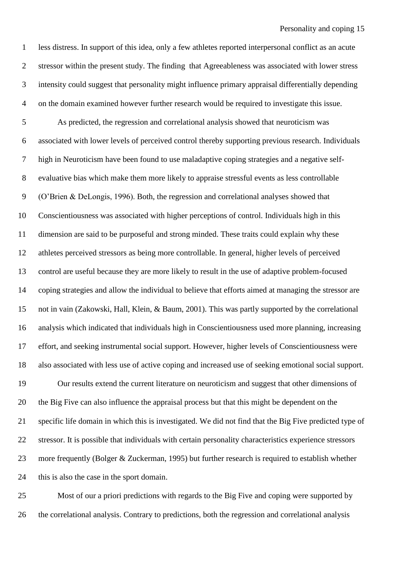less distress. In support of this idea, only a few athletes reported interpersonal conflict as an acute stressor within the present study. The finding that Agreeableness was associated with lower stress intensity could suggest that personality might influence primary appraisal differentially depending on the domain examined however further research would be required to investigate this issue.

 As predicted, the regression and correlational analysis showed that neuroticism was associated with lower levels of perceived control thereby supporting previous research. Individuals high in Neuroticism have been found to use maladaptive coping strategies and a negative self- evaluative bias which make them more likely to appraise stressful events as less controllable (O'Brien & DeLongis, 1996). Both, the regression and correlational analyses showed that Conscientiousness was associated with higher perceptions of control. Individuals high in this dimension are said to be purposeful and strong minded. These traits could explain why these athletes perceived stressors as being more controllable. In general, higher levels of perceived control are useful because they are more likely to result in the use of adaptive problem-focused coping strategies and allow the individual to believe that efforts aimed at managing the stressor are not in vain (Zakowski, Hall, Klein, & Baum, 2001). This was partly supported by the correlational analysis which indicated that individuals high in Conscientiousness used more planning, increasing effort, and seeking instrumental social support. However, higher levels of Conscientiousness were also associated with less use of active coping and increased use of seeking emotional social support.

 Our results extend the current literature on neuroticism and suggest that other dimensions of the Big Five can also influence the appraisal process but that this might be dependent on the specific life domain in which this is investigated. We did not find that the Big Five predicted type of stressor. It is possible that individuals with certain personality characteristics experience stressors more frequently (Bolger & Zuckerman, 1995) but further research is required to establish whether this is also the case in the sport domain.

 Most of our a priori predictions with regards to the Big Five and coping were supported by the correlational analysis. Contrary to predictions, both the regression and correlational analysis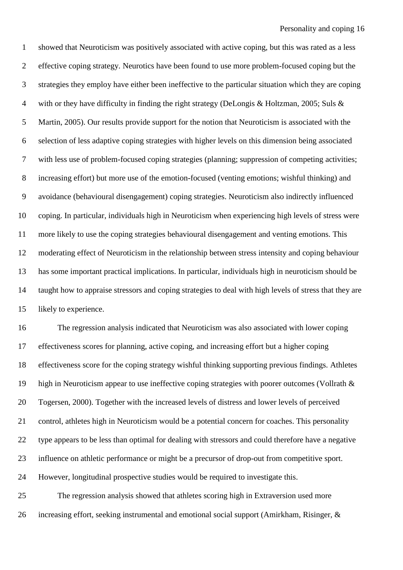showed that Neuroticism was positively associated with active coping, but this was rated as a less effective coping strategy. Neurotics have been found to use more problem-focused coping but the strategies they employ have either been ineffective to the particular situation which they are coping with or they have difficulty in finding the right strategy (DeLongis & Holtzman, 2005; Suls & Martin, 2005). Our results provide support for the notion that Neuroticism is associated with the selection of less adaptive coping strategies with higher levels on this dimension being associated with less use of problem-focused coping strategies (planning; suppression of competing activities; increasing effort) but more use of the emotion-focused (venting emotions; wishful thinking) and avoidance (behavioural disengagement) coping strategies. Neuroticism also indirectly influenced coping. In particular, individuals high in Neuroticism when experiencing high levels of stress were more likely to use the coping strategies behavioural disengagement and venting emotions. This moderating effect of Neuroticism in the relationship between stress intensity and coping behaviour has some important practical implications. In particular, individuals high in neuroticism should be taught how to appraise stressors and coping strategies to deal with high levels of stress that they are likely to experience.

 The regression analysis indicated that Neuroticism was also associated with lower coping effectiveness scores for planning, active coping, and increasing effort but a higher coping effectiveness score for the coping strategy wishful thinking supporting previous findings. Athletes high in Neuroticism appear to use ineffective coping strategies with poorer outcomes (Vollrath & Togersen, 2000). Together with the increased levels of distress and lower levels of perceived 21 control, athletes high in Neuroticism would be a potential concern for coaches. This personality type appears to be less than optimal for dealing with stressors and could therefore have a negative influence on athletic performance or might be a precursor of drop-out from competitive sport. However, longitudinal prospective studies would be required to investigate this.

 The regression analysis showed that athletes scoring high in Extraversion used more 26 increasing effort, seeking instrumental and emotional social support (Amirkham, Risinger, &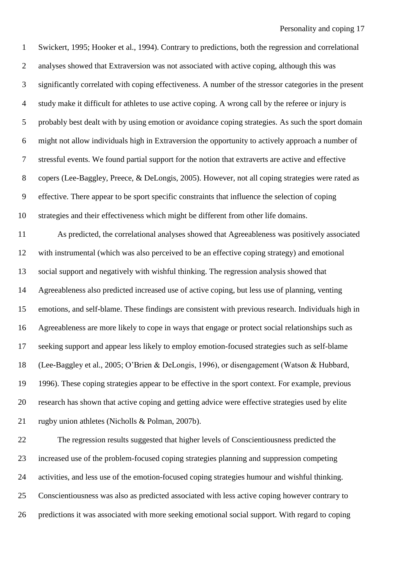Swickert, 1995; Hooker et al., 1994). Contrary to predictions, both the regression and correlational analyses showed that Extraversion was not associated with active coping, although this was significantly correlated with coping effectiveness. A number of the stressor categories in the present study make it difficult for athletes to use active coping. A wrong call by the referee or injury is probably best dealt with by using emotion or avoidance coping strategies. As such the sport domain might not allow individuals high in Extraversion the opportunity to actively approach a number of stressful events. We found partial support for the notion that extraverts are active and effective copers (Lee-Baggley, Preece, & DeLongis, 2005). However, not all coping strategies were rated as effective. There appear to be sport specific constraints that influence the selection of coping strategies and their effectiveness which might be different from other life domains.

 As predicted, the correlational analyses showed that Agreeableness was positively associated with instrumental (which was also perceived to be an effective coping strategy) and emotional social support and negatively with wishful thinking. The regression analysis showed that Agreeableness also predicted increased use of active coping, but less use of planning, venting emotions, and self-blame. These findings are consistent with previous research. Individuals high in Agreeableness are more likely to cope in ways that engage or protect social relationships such as seeking support and appear less likely to employ emotion-focused strategies such as self-blame (Lee-Baggley et al., 2005; O'Brien & DeLongis, 1996), or disengagement (Watson & Hubbard, 1996). These coping strategies appear to be effective in the sport context. For example, previous research has shown that active coping and getting advice were effective strategies used by elite rugby union athletes (Nicholls & Polman, 2007b).

 The regression results suggested that higher levels of Conscientiousness predicted the increased use of the problem-focused coping strategies planning and suppression competing activities, and less use of the emotion-focused coping strategies humour and wishful thinking. Conscientiousness was also as predicted associated with less active coping however contrary to predictions it was associated with more seeking emotional social support. With regard to coping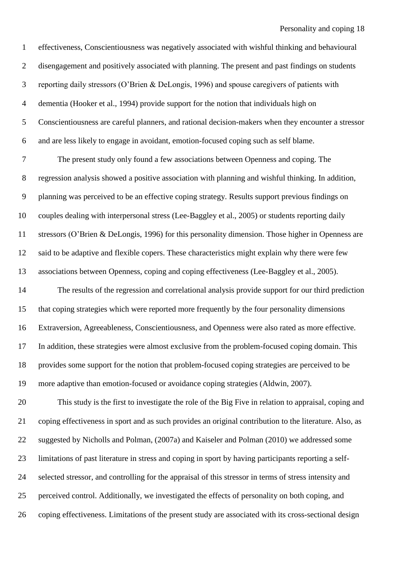effectiveness, Conscientiousness was negatively associated with wishful thinking and behavioural disengagement and positively associated with planning. The present and past findings on students reporting daily stressors (O'Brien & DeLongis, 1996) and spouse caregivers of patients with dementia (Hooker et al., 1994) provide support for the notion that individuals high on Conscientiousness are careful planners, and rational decision-makers when they encounter a stressor and are less likely to engage in avoidant, emotion-focused coping such as self blame.

 The present study only found a few associations between Openness and coping. The regression analysis showed a positive association with planning and wishful thinking. In addition, planning was perceived to be an effective coping strategy. Results support previous findings on couples dealing with interpersonal stress (Lee-Baggley et al., 2005) or students reporting daily stressors (O'Brien & DeLongis, 1996) for this personality dimension. Those higher in Openness are said to be adaptive and flexible copers. These characteristics might explain why there were few associations between Openness, coping and coping effectiveness (Lee-Baggley et al., 2005).

 The results of the regression and correlational analysis provide support for our third prediction that coping strategies which were reported more frequently by the four personality dimensions Extraversion, Agreeableness, Conscientiousness, and Openness were also rated as more effective. In addition, these strategies were almost exclusive from the problem-focused coping domain. This provides some support for the notion that problem-focused coping strategies are perceived to be more adaptive than emotion-focused or avoidance coping strategies (Aldwin, 2007).

 This study is the first to investigate the role of the Big Five in relation to appraisal, coping and coping effectiveness in sport and as such provides an original contribution to the literature. Also, as suggested by Nicholls and Polman, (2007a) and Kaiseler and Polman (2010) we addressed some limitations of past literature in stress and coping in sport by having participants reporting a self- selected stressor, and controlling for the appraisal of this stressor in terms of stress intensity and perceived control. Additionally, we investigated the effects of personality on both coping, and coping effectiveness. Limitations of the present study are associated with its cross-sectional design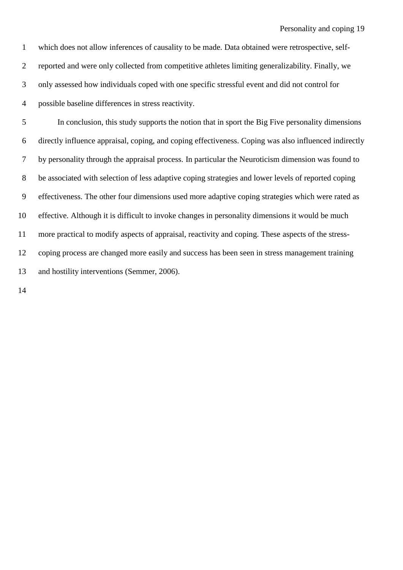which does not allow inferences of causality to be made. Data obtained were retrospective, self- reported and were only collected from competitive athletes limiting generalizability. Finally, we only assessed how individuals coped with one specific stressful event and did not control for possible baseline differences in stress reactivity.

 In conclusion, this study supports the notion that in sport the Big Five personality dimensions directly influence appraisal, coping, and coping effectiveness. Coping was also influenced indirectly by personality through the appraisal process. In particular the Neuroticism dimension was found to be associated with selection of less adaptive coping strategies and lower levels of reported coping effectiveness. The other four dimensions used more adaptive coping strategies which were rated as effective. Although it is difficult to invoke changes in personality dimensions it would be much more practical to modify aspects of appraisal, reactivity and coping. These aspects of the stress- coping process are changed more easily and success has been seen in stress management training and hostility interventions (Semmer, 2006).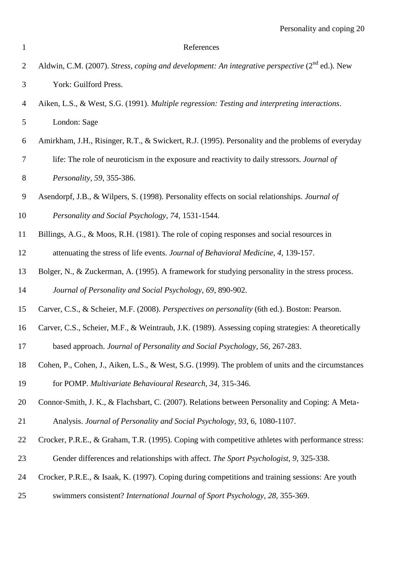| $\mathbf{1}$   | References                                                                                                 |
|----------------|------------------------------------------------------------------------------------------------------------|
| $\overline{2}$ | Aldwin, C.M. (2007). Stress, coping and development: An integrative perspective (2 <sup>nd</sup> ed.). New |
| $\mathfrak{Z}$ | York: Guilford Press.                                                                                      |
| $\overline{4}$ | Aiken, L.S., & West, S.G. (1991). Multiple regression: Testing and interpreting interactions.              |
| 5              | London: Sage                                                                                               |
| 6              | Amirkham, J.H., Risinger, R.T., & Swickert, R.J. (1995). Personality and the problems of everyday          |
| $\tau$         | life: The role of neuroticism in the exposure and reactivity to daily stressors. Journal of                |
| $8\,$          | Personality, 59, 355-386.                                                                                  |
| $\mathbf{9}$   | Asendorpf, J.B., & Wilpers, S. (1998). Personality effects on social relationships. Journal of             |
| 10             | Personality and Social Psychology, 74, 1531-1544.                                                          |
| 11             | Billings, A.G., & Moos, R.H. (1981). The role of coping responses and social resources in                  |
| 12             | attenuating the stress of life events. Journal of Behavioral Medicine, 4, 139-157.                         |
| 13             | Bolger, N., & Zuckerman, A. (1995). A framework for studying personality in the stress process.            |
| 14             | Journal of Personality and Social Psychology, 69, 890-902.                                                 |
| 15             | Carver, C.S., & Scheier, M.F. (2008). Perspectives on personality (6th ed.). Boston: Pearson.              |
| 16             | Carver, C.S., Scheier, M.F., & Weintraub, J.K. (1989). Assessing coping strategies: A theoretically        |
| 17             | based approach. Journal of Personality and Social Psychology, 56, 267-283.                                 |
| 18             | Cohen, P., Cohen, J., Aiken, L.S., & West, S.G. (1999). The problem of units and the circumstances         |
| 19             | for POMP. Multivariate Behavioural Research, 34, 315-346.                                                  |
| 20             | Connor-Smith, J. K., & Flachsbart, C. (2007). Relations between Personality and Coping: A Meta-            |
| 21             | Analysis. Journal of Personality and Social Psychology, 93, 6, 1080-1107.                                  |
| 22             | Crocker, P.R.E., & Graham, T.R. (1995). Coping with competitive athletes with performance stress:          |
| 23             | Gender differences and relationships with affect. The Sport Psychologist, 9, 325-338.                      |
| 24             | Crocker, P.R.E., & Isaak, K. (1997). Coping during competitions and training sessions: Are youth           |
| 25             | swimmers consistent? International Journal of Sport Psychology, 28, 355-369.                               |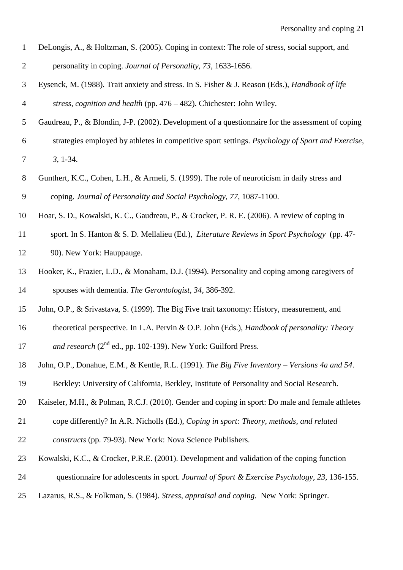| DeLongis, A., & Holtzman, S. (2005). Coping in context: The role of stress, social support, and |
|-------------------------------------------------------------------------------------------------|
| personality in coping. Journal of Personality, 73, 1633-1656.                                   |

- Eysenck, M. (1988). Trait anxiety and stress. In S. Fisher & J. Reason (Eds.), *Handbook of life stress, cognition and health* (pp. 476 – 482). Chichester: John Wiley.
- Gaudreau, P., & Blondin, J-P. (2002). Development of a questionnaire for the assessment of coping strategies employed by athletes in competitive sport settings. *Psychology of Sport and Exercise, 3*, 1-34.
- Gunthert, K.C., Cohen, L.H., & Armeli, S. (1999). The role of neuroticism in daily stress and coping. *Journal of Personality and Social Psychology, 77*, 1087-1100.
- Hoar, S. D., Kowalski, K. C., Gaudreau, P., & Crocker, P. R. E. (2006). A review of coping in
- sport. In S. Hanton & S. D. Mellalieu (Ed.), *Literature Reviews in Sport Psychology* (pp. 47- 90). New York: Hauppauge.
- Hooker, K., Frazier, L.D., & Monaham, D.J. (1994). Personality and coping among caregivers of spouses with dementia. *The Gerontologist, 34*, 386-392.
- John, O.P., & Srivastava, S. (1999). The Big Five trait taxonomy: History, measurement, and
- theoretical perspective. In L.A. Pervin & O.P. John (Eds.), *Handbook of personality: Theory*  17 and research  $(2^{nd}$  ed., pp. 102-139). New York: Guilford Press.
- John, O.P., Donahue, E.M., & Kentle, R.L. (1991). *The Big Five Inventory – Versions 4a and 54*.
- Berkley: University of California, Berkley, Institute of Personality and Social Research.
- Kaiseler, M.H., & Polman, R.C.J. (2010). Gender and coping in sport: Do male and female athletes
- cope differently? In A.R. Nicholls (Ed.), *Coping in sport: Theory, methods, and related constructs* (pp. 79-93). New York: Nova Science Publishers.
- Kowalski, K.C., & Crocker, P.R.E. (2001). Development and validation of the coping function
- questionnaire for adolescents in sport. *Journal of Sport & Exercise Psychology, 23*, 136-155.
- Lazarus, R.S., & Folkman, S. (1984). *Stress, appraisal and coping.* New York: Springer.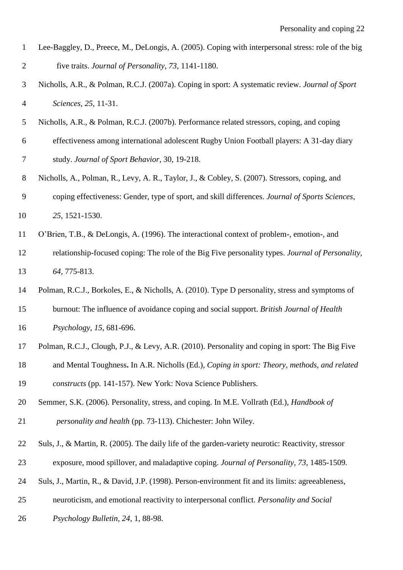- Lee-Baggley, D., Preece, M., DeLongis, A. (2005). Coping with interpersonal stress: role of the big five traits. *Journal of Personality, 73,* 1141-1180.
- Nicholls, A.R., & Polman, R.C.J. (2007a). Coping in sport: A systematic review. *Journal of Sport Sciences, 25,* 11-31.
- Nicholls, A.R., & Polman, R.C.J. (2007b). Performance related stressors, coping, and coping effectiveness among international adolescent Rugby Union Football players: A 31-day diary

study. *Journal of Sport Behavior*, 30, 19-218.

- Nicholls, A., Polman, R., Levy, A. R., Taylor, J., & Cobley, S. (2007). Stressors, coping, and
- coping effectiveness: Gender, type of sport, and skill differences. *Journal of Sports Sciences*,
- *25*, 1521-1530.
- O'Brien, T.B., & DeLongis, A. (1996). The interactional context of problem-, emotion-, and
- relationship-focused coping: The role of the Big Five personality types. *Journal of Personality, 64,* 775-813.
- Polman, R.C.J., Borkoles, E., & Nicholls, A. (2010). Type D personality, stress and symptoms of burnout: The influence of avoidance coping and social support. *British Journal of Health Psychology*, *15*, 681-696.
- Polman, R.C.J., Clough, P.J., & Levy, A.R. (2010). Personality and coping in sport: The Big Five
- and Mental Toughness**.** In A.R. Nicholls (Ed.), *Coping in sport: Theory, methods, and related constructs* (pp. 141-157). New York: Nova Science Publishers.
- Semmer, S.K. (2006). Personality, stress, and coping. In M.E. Vollrath (Ed.), *Handbook of personality and health* (pp. 73-113). Chichester: John Wiley.
- Suls, J., & Martin, R. (2005). The daily life of the garden-variety neurotic: Reactivity, stressor
- exposure, mood spillover, and maladaptive coping. *Journal of Personality, 73*, 1485-1509.
- Suls, J., Martin, R., & David, J.P. (1998). Person-environment fit and its limits: agreeableness,
- neuroticism, and emotional reactivity to interpersonal conflict. *Personality and Social*
- *Psychology Bulletin, 24*, 1, 88-98.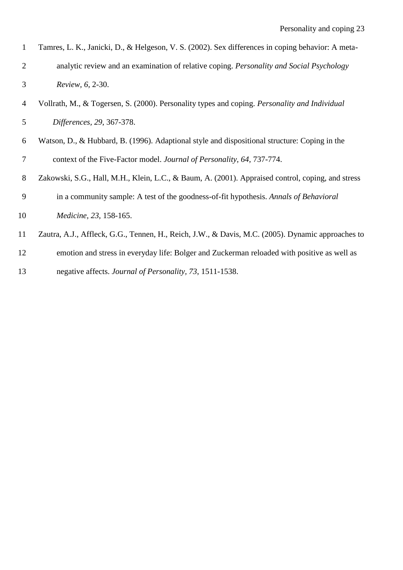| 1              | Tamres, L. K., Janicki, D., & Helgeson, V. S. (2002). Sex differences in coping behavior: A meta-    |
|----------------|------------------------------------------------------------------------------------------------------|
| 2              | analytic review and an examination of relative coping. Personality and Social Psychology             |
| 3              | Review, 6, 2-30.                                                                                     |
| $\overline{4}$ | Vollrath, M., & Togersen, S. (2000). Personality types and coping. <i>Personality and Individual</i> |
| 5              | Differences, 29, 367-378.                                                                            |
| 6              | Watson, D., & Hubbard, B. (1996). Adaptional style and dispositional structure: Coping in the        |
| 7              | context of the Five-Factor model. Journal of Personality, 64, 737-774.                               |
| 8              | Zakowski, S.G., Hall, M.H., Klein, L.C., & Baum, A. (2001). Appraised control, coping, and stress    |

- in a community sample: A test of the goodness-of-fit hypothesis. *Annals of Behavioral*
- *Medicine, 23*, 158-165.
- Zautra, A.J., Affleck, G.G., Tennen, H., Reich, J.W., & Davis, M.C. (2005). Dynamic approaches to
- emotion and stress in everyday life: Bolger and Zuckerman reloaded with positive as well as
- negative affects. *Journal of Personality, 73*, 1511-1538.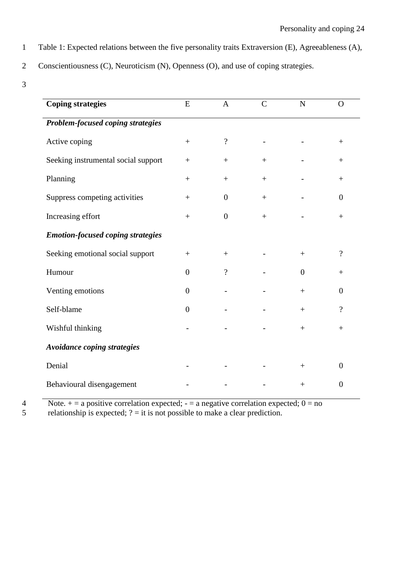1 Table 1: Expected relations between the five personality traits Extraversion (E), Agreeableness (A),

2 Conscientiousness (C), Neuroticism (N), Openness (O), and use of coping strategies.

3

| <b>Coping strategies</b>                 | ${\bf E}$        | $\overline{A}$           | $\overline{C}$ | $\mathbf N$    | $\Omega$                 |  |
|------------------------------------------|------------------|--------------------------|----------------|----------------|--------------------------|--|
| Problem-focused coping strategies        |                  |                          |                |                |                          |  |
| Active coping                            |                  | $\overline{\mathcal{L}}$ |                |                | $^{+}$                   |  |
| Seeking instrumental social support      | $\boldsymbol{+}$ | $^{+}$                   | $^{+}$         |                | $^{+}$                   |  |
| Planning                                 | $^{+}$           | $\! + \!\!\!\!$          |                |                | $\! + \!\!\!\!$          |  |
| Suppress competing activities            |                  | $\boldsymbol{0}$         | $+$            |                | $\overline{0}$           |  |
| Increasing effort                        | $+$              | $\theta$                 | $+$            |                | $^{+}$                   |  |
| <b>Emotion-focused coping strategies</b> |                  |                          |                |                |                          |  |
| Seeking emotional social support         |                  | $^{+}$                   |                |                | $\overline{\mathcal{C}}$ |  |
| Humour                                   | $\overline{0}$   | $\gamma$                 |                | $\overline{0}$ | $^{+}$                   |  |
| Venting emotions                         | $\boldsymbol{0}$ |                          |                | $+$            | $\theta$                 |  |
| Self-blame                               | $\boldsymbol{0}$ |                          |                | $^{+}$         | $\overline{\mathcal{C}}$ |  |
| Wishful thinking                         |                  |                          |                |                | $\! + \!\!\!\!$          |  |
| <b>Avoidance coping strategies</b>       |                  |                          |                |                |                          |  |
| Denial                                   |                  |                          |                | $+$            | $\overline{0}$           |  |
| Behavioural disengagement                |                  |                          |                | $^{+}$         | $\theta$                 |  |

Note.  $+$  = a positive correlation expected;  $-$  = a negative correlation expected;  $0$  = no relationship is expected;  $?$  = it is not possible to make a clear prediction.

relationship is expected;  $? =$  it is not possible to make a clear prediction.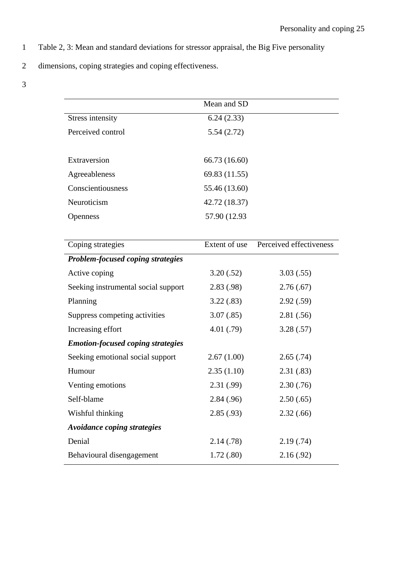- 1 Table 2, 3: Mean and standard deviations for stressor appraisal, the Big Five personality
- 2 dimensions, coping strategies and coping effectiveness.
- 3

|                                          | Mean and SD   |                         |
|------------------------------------------|---------------|-------------------------|
| <b>Stress intensity</b>                  | 6.24(2.33)    |                         |
| Perceived control                        | 5.54(2.72)    |                         |
|                                          |               |                         |
| Extraversion                             | 66.73 (16.60) |                         |
| Agreeableness                            | 69.83 (11.55) |                         |
| Conscientiousness                        | 55.46 (13.60) |                         |
| Neuroticism                              | 42.72 (18.37) |                         |
| <b>Openness</b>                          | 57.90 (12.93  |                         |
|                                          |               |                         |
| Coping strategies                        | Extent of use | Perceived effectiveness |
| <b>Problem-focused coping strategies</b> |               |                         |
| Active coping                            | 3.20(.52)     | 3.03(.55)               |
| Seeking instrumental social support      | 2.83(0.98)    | 2.76(.67)               |
| Planning                                 | 3.22(.83)     | 2.92(.59)               |
| Suppress competing activities            | 3.07(.85)     | 2.81(.56)               |
| Increasing effort                        | 4.01(0.79)    | 3.28(.57)               |
| <b>Emotion-focused coping strategies</b> |               |                         |
| Seeking emotional social support         | 2.67(1.00)    | 2.65(.74)               |
| Humour                                   | 2.35(1.10)    | 2.31(.83)               |
| Venting emotions                         | 2.31(.99)     | 2.30(.76)               |
| Self-blame                               | 2.84(.96)     | 2.50(.65)               |
| Wishful thinking                         | 2.85(.93)     | 2.32(.66)               |
| Avoidance coping strategies              |               |                         |
| Denial                                   | 2.14(.78)     | 2.19(.74)               |
| Behavioural disengagement                | 1.72(.80)     | 2.16(0.92)              |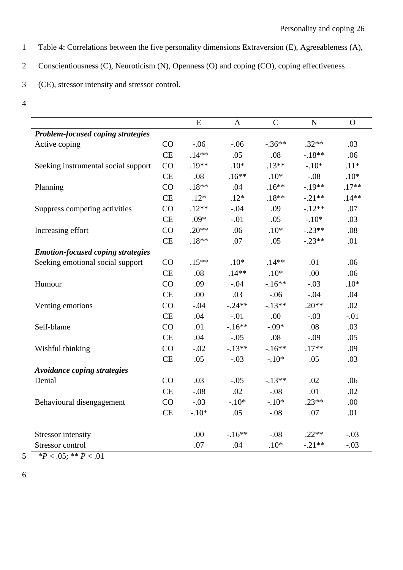- 1 Table 4: Correlations between the five personality dimensions Extraversion (E), Agreeableness (A),
- 2 Conscientiousness (C), Neuroticism (N), Openness (O) and coping (CO), coping effectiveness
- 3 (CE), stressor intensity and stressor control.
- 4

|                                          |           | E        | $\mathbf{A}$ | $\overline{C}$ | $\mathbf N$ | $\Omega$ |
|------------------------------------------|-----------|----------|--------------|----------------|-------------|----------|
| Problem-focused coping strategies        |           |          |              |                |             |          |
| Active coping                            | CO        | $-.06$   | $-.06$       | $-.36**$       | $.32**$     | .03      |
|                                          | <b>CE</b> | $.14**$  | .05          | .08            | $-.18**$    | .06      |
| Seeking instrumental social support      | CO        | $.19**$  | $.10*$       | $.13**$        | $-.10*$     | $.11*$   |
|                                          | CE        | .08      | $.16**$      | $.10*$         | $-.08$      | $.10*$   |
| Planning                                 | CO        | $.18**$  | .04          | $.16**$        | $-.19**$    | $.17**$  |
|                                          | <b>CE</b> | $.12*$   | $.12*$       | $.18**$        | $-.21**$    | $.14**$  |
| Suppress competing activities            | CO        | $.12**$  | $-.04$       | .09            | $-.12**$    | .07      |
|                                          | CE        | $.09*$   | $-.01$       | .05            | $-.10*$     | .03      |
| Increasing effort                        | CO        | $.20**$  | .06          | $.10*$         | $-.23**$    | .08      |
|                                          | CE        | $.18**$  | .07          | .05            | $-.23**$    | .01      |
| <b>Emotion-focused coping strategies</b> |           |          |              |                |             |          |
| Seeking emotional social support         | CO        | $.15***$ | $.10*$       | $.14**$        | .01         | .06      |
|                                          | CE        | .08      | $.14**$      | $.10*$         | .00         | .06      |
| Humour                                   | CO        | .09      | $-.04$       | $-.16**$       | $-.03$      | $.10*$   |
|                                          | CE        | .00      | .03          | $-.06$         | $-.04$      | .04      |
| Venting emotions                         | CO        | $-.04$   | $-.24**$     | $-13**$        | $.20**$     | .02      |
|                                          | CE        | .04      | $-.01$       | .00            | $-.03$      | $-.01$   |
| Self-blame                               | CO        | .01      | $-.16**$     | $-.09*$        | .08         | .03      |
|                                          | CE        | .04      | $-.05$       | .08            | $-.09$      | .05      |
| Wishful thinking                         | CO        | $-.02$   | $-.13**$     | $-16**$        | $.17**$     | .09      |
|                                          | CE        | .05      | $-.03$       | $-.10*$        | .05         | .03      |
| <b>Avoidance coping strategies</b>       |           |          |              |                |             |          |
| Denial                                   | CO        | .03      | $-.05$       | $-.13**$       | .02         | .06      |
|                                          | CE        | $-.08$   | .02          | $-.08$         | .01         | .02      |
| Behavioural disengagement                | CO        | $-.03$   | $-.10*$      | $-.10*$        | $.23**$     | .00      |
|                                          | CE        | $-.10*$  | .05          | $-.08$         | .07         | .01      |
| <b>Stressor</b> intensity                |           | .00      | $-.16**$     | $-.08$         | $.22**$     | $-.03$   |
| Stressor control                         |           | .07      | .04          | $.10*$         | $-.21**$    | $-.03$   |

5  $\overline{\text{P} < .05; \text{P} < .01}$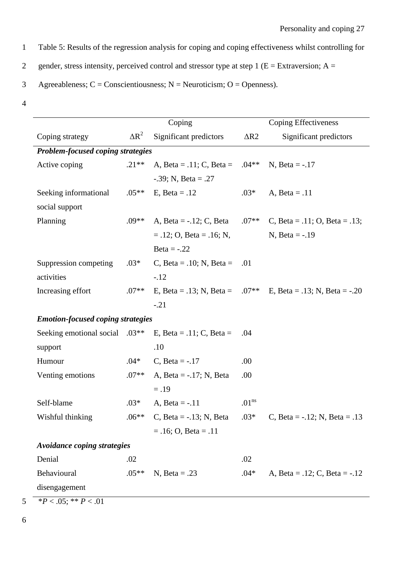1 Table 5: Results of the regression analysis for coping and coping effectiveness whilst controlling for

2 gender, stress intensity, perceived control and stressor type at step 1 ( $E =$  Extraversion; A =

3 Agreeableness;  $C =$  Conscientiousness;  $N =$  Neuroticism; O = Openness).

|                                            |              | Coping                         | Coping Effectiveness |                                                                |  |
|--------------------------------------------|--------------|--------------------------------|----------------------|----------------------------------------------------------------|--|
| Coping strategy                            | $\Delta R^2$ | Significant predictors         | $\Delta R2$          | Significant predictors                                         |  |
| Problem-focused coping strategies          |              |                                |                      |                                                                |  |
| Active coping                              | $.21**$      | A, Beta = .11; C, Beta = .04** |                      | $N, Beta = -.17$                                               |  |
|                                            |              | $-.39; N, Beta = .27$          |                      |                                                                |  |
| Seeking informational                      | $.05**$      | E, Beta = $.12$                | $.03*$               | A, Beta = $.11$                                                |  |
| social support                             |              |                                |                      |                                                                |  |
| Planning                                   | $.09**$      | A, Beta = $-0.12$ ; C, Beta    | $.07**$              | C, Beta = .11; O, Beta = .13;                                  |  |
|                                            |              | $= .12; O, Beta = .16; N,$     |                      | N, Beta = $-.19$                                               |  |
|                                            |              | Beta = $-.22$                  |                      |                                                                |  |
| Suppression competing                      | $.03*$       | C, Beta = .10; N, Beta =       | .01                  |                                                                |  |
| activities                                 |              | $-.12$                         |                      |                                                                |  |
| Increasing effort                          | $.07**$      |                                |                      | E, Beta = .13; N, Beta = $.07**$ E, Beta = .13; N, Beta = -.20 |  |
|                                            |              | $-.21$                         |                      |                                                                |  |
| <b>Emotion-focused coping strategies</b>   |              |                                |                      |                                                                |  |
| Seeking emotional social .03 <sup>**</sup> |              | E, Beta = .11; C, Beta =       | .04                  |                                                                |  |
| support                                    |              | .10                            |                      |                                                                |  |
| Humour                                     | $.04*$       | C, Beta = $-.17$               | .00                  |                                                                |  |
| Venting emotions                           | $.07**$      | A, Beta = $-0.17$ ; N, Beta    | .00                  |                                                                |  |
|                                            |              | $=.19$                         |                      |                                                                |  |
| Self-blame                                 | $.03*$       | A, Beta = $-11$                | .01 <sup>ns</sup>    |                                                                |  |
| Wishful thinking                           | $.06**$      | C, Beta = $-.13$ ; N, Beta     | $.03*$               | C, Beta = $-0.12$ ; N, Beta = $0.13$                           |  |
|                                            |              | $= .16; O, Beta = .11$         |                      |                                                                |  |
| Avoidance coping strategies                |              |                                |                      |                                                                |  |
| Denial                                     | .02          |                                | .02                  |                                                                |  |
| Behavioural                                | $.05**$      | N, Beta = $.23$                | $.04*$               | A, Beta = $.12$ ; C, Beta = $-.12$                             |  |
| disengagement                              |              |                                |                      |                                                                |  |
| $*P < .05; ** P < .01$                     |              |                                |                      |                                                                |  |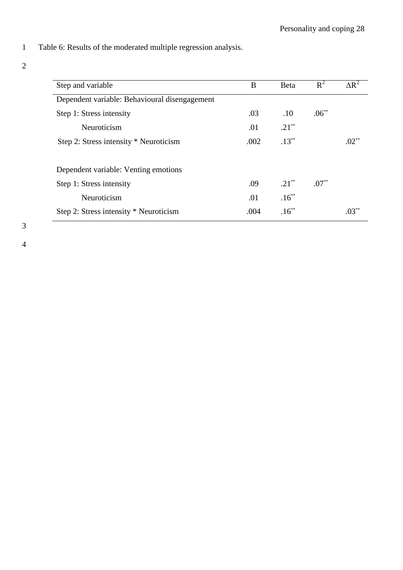- 1 Table 6: Results of the moderated multiple regression analysis.
- 2

| Step and variable                             | B    | <b>B</b> eta | $R^2$    | $\Delta R^2$ |
|-----------------------------------------------|------|--------------|----------|--------------|
| Dependent variable: Behavioural disengagement |      |              |          |              |
| Step 1: Stress intensity                      | .03  | .10          | $.06***$ |              |
| Neuroticism                                   | .01  | $.21***$     |          |              |
| Step 2: Stress intensity * Neuroticism        | .002 | $.13***$     |          | $.02**$      |
| Dependent variable: Venting emotions          |      |              |          |              |
| Step 1: Stress intensity                      | .09  | $.21***$     | $.07***$ |              |
| Neuroticism                                   | .01  | $.16***$     |          |              |
| Step 2: Stress intensity * Neuroticism        | .004 | $.16***$     |          | $.03***$     |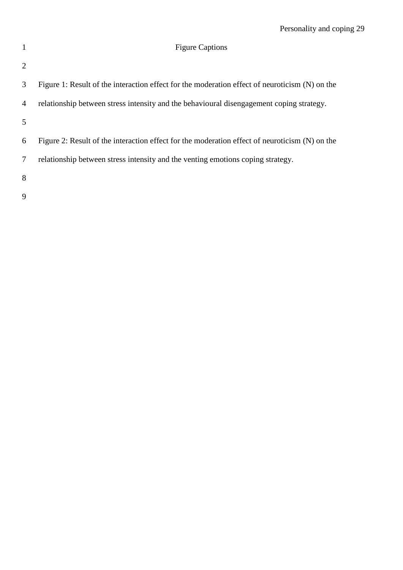# 1 Figure Captions

| 2              |                                                                                                |
|----------------|------------------------------------------------------------------------------------------------|
| 3              | Figure 1: Result of the interaction effect for the moderation effect of neuroticism (N) on the |
| $\overline{4}$ | relationship between stress intensity and the behavioural disengagement coping strategy.       |
| 5              |                                                                                                |
| 6              | Figure 2: Result of the interaction effect for the moderation effect of neuroticism (N) on the |
| 7              | relationship between stress intensity and the venting emotions coping strategy.                |
| 8              |                                                                                                |